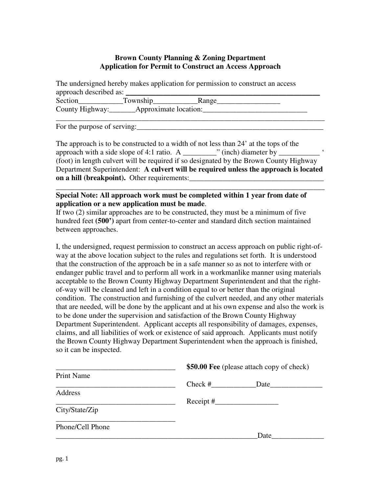### **Brown County Planning & Zoning Department Application for Permit to Construct an Access Approach**

The undersigned hereby makes application for permission to construct an access approach described as:

| Section | Township_                                        | Range |
|---------|--------------------------------------------------|-------|
|         | County Highway: __________ Approximate location: |       |
|         |                                                  |       |

For the purpose of serving:

The approach is to be constructed to a width of not less than 24' at the tops of the approach with a side slope of 4:1 ratio. A  $\blacksquare$  '' (inch) diameter by (foot) in length culvert will be required if so designated by the Brown County Highway Department Superintendent: **A culvert will be required unless the approach is located on a** hill (breakpoint). Other requirements:

\_\_\_\_\_\_\_\_\_\_\_\_\_\_\_\_\_\_\_\_\_\_\_\_\_\_\_\_\_\_\_\_\_\_\_\_\_\_\_\_\_\_\_\_\_\_\_\_\_\_\_\_\_\_\_\_\_\_\_\_\_\_\_\_\_\_\_\_\_\_\_\_

**Special Note: All approach work must be completed within 1 year from date of application or a new application must be made**.

If two (2) similar approaches are to be constructed, they must be a minimum of five hundred feet **(500')** apart from center-to-center and standard ditch section maintained between approaches.

I, the undersigned, request permission to construct an access approach on public right-ofway at the above location subject to the rules and regulations set forth. It is understood that the construction of the approach be in a safe manner so as not to interfere with or endanger public travel and to perform all work in a workmanlike manner using materials acceptable to the Brown County Highway Department Superintendent and that the rightof-way will be cleaned and left in a condition equal to or better than the original condition. The construction and furnishing of the culvert needed, and any other materials that are needed, will be done by the applicant and at his own expense and also the work is to be done under the supervision and satisfaction of the Brown County Highway Department Superintendent. Applicant accepts all responsibility of damages, expenses, claims, and all liabilities of work or existence of said approach. Applicants must notify the Brown County Highway Department Superintendent when the approach is finished, so it can be inspected.

| \$50.00 Fee (please attach copy of check)                                                                                                                                                                                                   |  |  |
|---------------------------------------------------------------------------------------------------------------------------------------------------------------------------------------------------------------------------------------------|--|--|
|                                                                                                                                                                                                                                             |  |  |
| $Check \#$<br>Date and the same state of the state of the state of the state of the state of the state of the state of the state of the state of the state of the state of the state of the state of the state of the state of the state of |  |  |
|                                                                                                                                                                                                                                             |  |  |
| $\text{Receipt}$ #                                                                                                                                                                                                                          |  |  |
|                                                                                                                                                                                                                                             |  |  |
|                                                                                                                                                                                                                                             |  |  |
| Date                                                                                                                                                                                                                                        |  |  |
|                                                                                                                                                                                                                                             |  |  |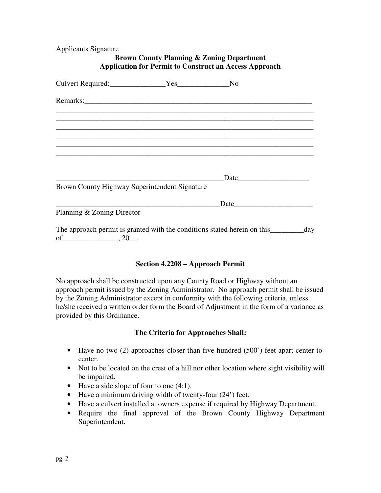Applicants Signature

| <b>Brown County Planning &amp; Zoning Department</b><br><b>Application for Permit to Construct an Access Approach</b> |  |               |                        |  |
|-----------------------------------------------------------------------------------------------------------------------|--|---------------|------------------------|--|
|                                                                                                                       |  |               |                        |  |
|                                                                                                                       |  |               |                        |  |
|                                                                                                                       |  |               |                        |  |
| <u> 1989 - John Stone, amerikansk politiker (d. 1989)</u>                                                             |  |               |                        |  |
|                                                                                                                       |  |               |                        |  |
|                                                                                                                       |  | Date          |                        |  |
| Brown County Highway Superintendent Signature                                                                         |  |               |                        |  |
|                                                                                                                       |  | $\text{Date}$ |                        |  |
| Planning & Zoning Director                                                                                            |  |               |                        |  |
| The approach permit is grapted with the conditions stated berein on this                                              |  |               | $\mathbf{d}\mathbf{v}$ |  |

The approach permit is granted with the conditions stated herein on this \_\_\_\_\_\_\_\_ day of \_\_\_\_\_\_\_\_\_\_\_\_\_\_\_\_\_\_, 20\_\_.

### **Section 4.2208 – Approach Permit**

No approach shall be constructed upon any County Road or Highway without an approach permit issued by the Zoning Administrator. No approach permit shall be issued by the Zoning Administrator except in conformity with the following criteria, unless he/she received a written order form the Board of Adjustment in the form of a variance as provided by this Ordinance.

### **The Criteria for Approaches Shall:**

- Have no two (2) approaches closer than five-hundred (500') feet apart center-tocenter.
- Not to be located on the crest of a hill nor other location where sight visibility will be impaired.
- Have a side slope of four to one (4:1).
- Have a minimum driving width of twenty-four (24') feet.
- Have a culvert installed at owners expense if required by Highway Department.
- Require the final approval of the Brown County Highway Department Superintendent.